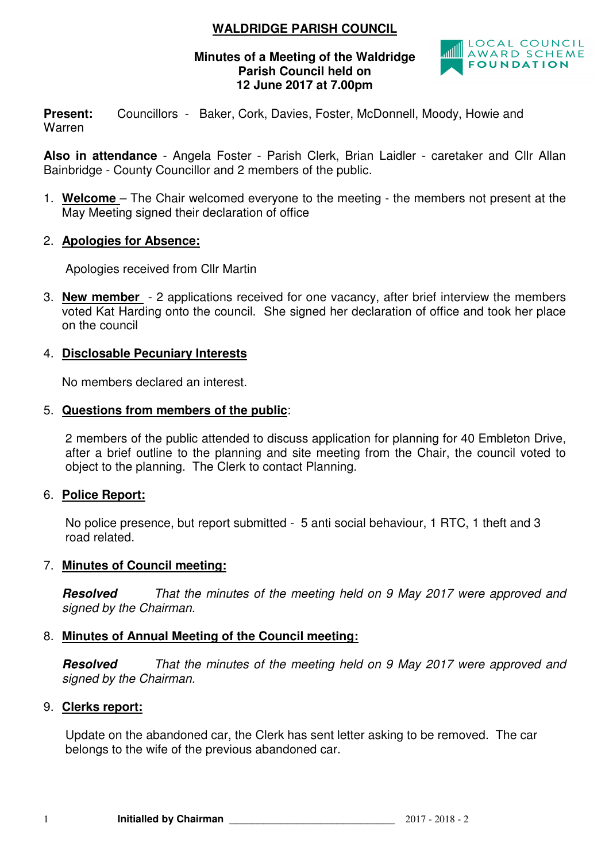# **WALDRIDGE PARISH COUNCIL**

### **Minutes of a Meeting of the Waldridge Parish Council held on 12 June 2017 at 7.00pm**



Present: Councillors - Baker, Cork, Davies, Foster, McDonnell, Moody, Howie and Warren

**Also in attendance** - Angela Foster - Parish Clerk, Brian Laidler - caretaker and Cllr Allan Bainbridge - County Councillor and 2 members of the public.

- 1. **Welcome**  The Chair welcomed everyone to the meeting the members not present at the May Meeting signed their declaration of office
- 2. **Apologies for Absence:**

Apologies received from Cllr Martin

3. **New member** - 2 applications received for one vacancy, after brief interview the members voted Kat Harding onto the council. She signed her declaration of office and took her place on the council

### 4. **Disclosable Pecuniary Interests**

No members declared an interest.

#### 5. **Questions from members of the public**:

2 members of the public attended to discuss application for planning for 40 Embleton Drive, after a brief outline to the planning and site meeting from the Chair, the council voted to object to the planning. The Clerk to contact Planning.

### 6. **Police Report:**

No police presence, but report submitted - 5 anti social behaviour, 1 RTC, 1 theft and 3 road related.

#### 7. **Minutes of Council meeting:**

**Resolved** That the minutes of the meeting held on 9 May 2017 were approved and signed by the Chairman.

### 8. **Minutes of Annual Meeting of the Council meeting:**

**Resolved** That the minutes of the meeting held on 9 May 2017 were approved and signed by the Chairman.

#### 9. **Clerks report:**

Update on the abandoned car, the Clerk has sent letter asking to be removed. The car belongs to the wife of the previous abandoned car.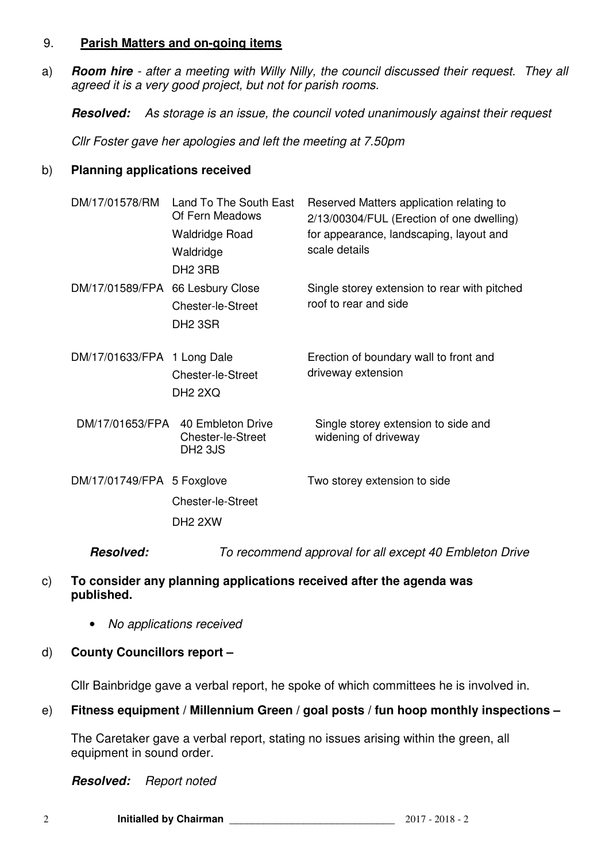### 9. **Parish Matters and on-going items**

a) **Room hire** - after a meeting with Willy Nilly, the council discussed their request. They all agreed it is a very good project, but not for parish rooms.

**Resolved:** As storage is an issue, the council voted unanimously against their request

Cllr Foster gave her apologies and left the meeting at 7.50pm

### b) **Planning applications received**

| DM/17/01578/RM                   | Land To The South East<br>Of Fern Meadows<br><b>Waldridge Road</b><br>Waldridge<br>DH <sub>2</sub> 3RB | Reserved Matters application relating to<br>2/13/00304/FUL (Erection of one dwelling)<br>for appearance, landscaping, layout and<br>scale details |
|----------------------------------|--------------------------------------------------------------------------------------------------------|---------------------------------------------------------------------------------------------------------------------------------------------------|
| DM/17/01589/FPA 66 Lesbury Close | Chester-le-Street<br>DH <sub>2</sub> 3SR                                                               | Single storey extension to rear with pitched<br>roof to rear and side                                                                             |
| DM/17/01633/FPA 1 Long Dale      | Chester-le-Street<br>DH <sub>2</sub> 2XQ                                                               | Erection of boundary wall to front and<br>driveway extension                                                                                      |
| DM/17/01653/FPA                  | 40 Embleton Drive<br>Chester-le-Street<br><b>DH2 3JS</b>                                               | Single storey extension to side and<br>widening of driveway                                                                                       |
| DM/17/01749/FPA 5 Foxglove       | <b>Chester-le-Street</b><br>DH <sub>2</sub> 2XW                                                        | Two storey extension to side                                                                                                                      |
| Resolved:                        |                                                                                                        | To recommend approval for all except 40 Embleton Drive                                                                                            |

- c) **To consider any planning applications received after the agenda was published.** 
	- No applications received
- d) **County Councillors report**

Cllr Bainbridge gave a verbal report, he spoke of which committees he is involved in.

## e) **Fitness equipment / Millennium Green / goal posts / fun hoop monthly inspections –**

The Caretaker gave a verbal report, stating no issues arising within the green, all equipment in sound order.

**Resolved:** Report noted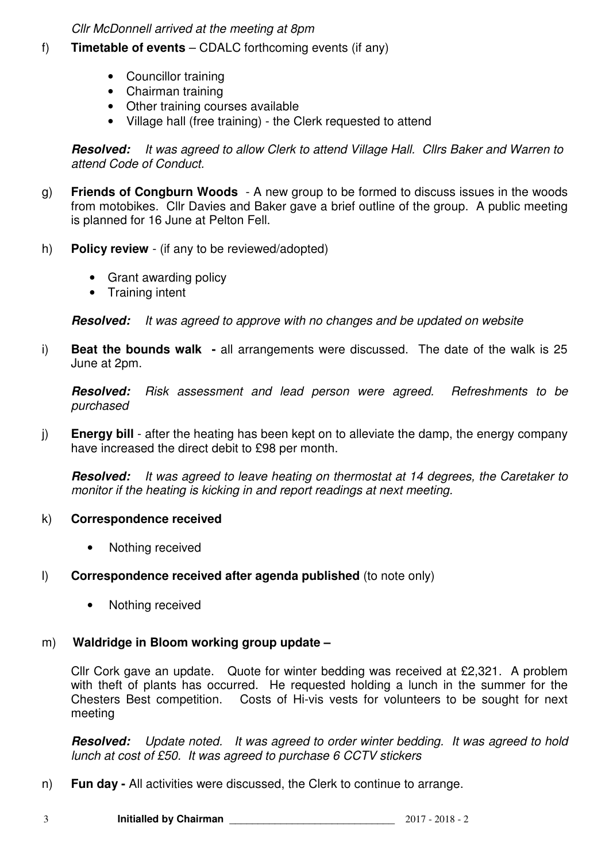Cllr McDonnell arrived at the meeting at 8pm

- f) **Timetable of events** CDALC forthcoming events (if any)
	- Councillor training
	- Chairman training
	- Other training courses available
	- Village hall (free training) the Clerk requested to attend

**Resolved:** It was agreed to allow Clerk to attend Village Hall. Cllrs Baker and Warren to attend Code of Conduct.

- g) **Friends of Congburn Woods**  A new group to be formed to discuss issues in the woods from motobikes. Cllr Davies and Baker gave a brief outline of the group. A public meeting is planned for 16 June at Pelton Fell.
- h) **Policy review**  (if any to be reviewed/adopted)
	- Grant awarding policy
	- Training intent

**Resolved:** It was agreed to approve with no changes and be updated on website

i) **Beat the bounds walk -** all arrangements were discussed. The date of the walk is 25 June at 2pm.

**Resolved:** Risk assessment and lead person were agreed. Refreshments to be purchased

j) **Energy bill** - after the heating has been kept on to alleviate the damp, the energy company have increased the direct debit to £98 per month.

**Resolved:** It was agreed to leave heating on thermostat at 14 degrees, the Caretaker to monitor if the heating is kicking in and report readings at next meeting.

### k) **Correspondence received**

- Nothing received
- l) **Correspondence received after agenda published** (to note only)
	- Nothing received

### m) **Waldridge in Bloom working group update –**

Cllr Cork gave an update. Quote for winter bedding was received at £2,321. A problem with theft of plants has occurred. He requested holding a lunch in the summer for the Chesters Best competition. Costs of Hi-vis vests for volunteers to be sought for next meeting

**Resolved:** Update noted. It was agreed to order winter bedding. It was agreed to hold lunch at cost of £50. It was agreed to purchase 6 CCTV stickers

n) **Fun day -** All activities were discussed, the Clerk to continue to arrange.